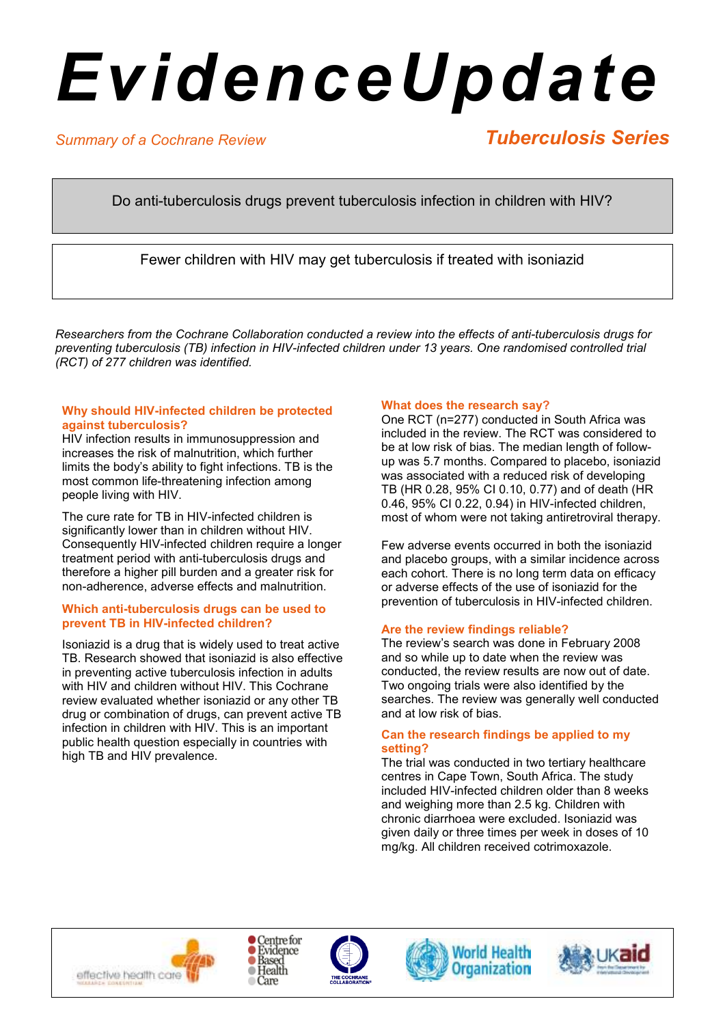# *EvidenceUpdate*

# *Summary of a Cochrane Review*

# *Tuberculosis Series*

Do anti-tuberculosis drugs prevent tuberculosis infection in children with HIV?

Fewer children with HIV may get tuberculosis if treated with isoniazid

*Researchers from the Cochrane Collaboration conducted a review into the effects of anti-tuberculosis drugs for preventing tuberculosis (TB) infection in HIV-infected children under 13 years. One randomised controlled trial (RCT) of 277 children was identified.* 

#### **Why should HIV-infected children be protected against tuberculosis?**

HIV infection results in immunosuppression and increases the risk of malnutrition, which further limits the body's ability to fight infections. TB is the most common life-threatening infection among people living with HIV.

The cure rate for TB in HIV-infected children is significantly lower than in children without HIV. Consequently HIV-infected children require a longer treatment period with anti-tuberculosis drugs and therefore a higher pill burden and a greater risk for non-adherence, adverse effects and malnutrition.

### **Which anti-tuberculosis drugs can be used to prevent TB in HIV-infected children?**

Isoniazid is a drug that is widely used to treat active TB. Research showed that isoniazid is also effective in preventing active tuberculosis infection in adults with HIV and children without HIV. This Cochrane review evaluated whether isoniazid or any other TB drug or combination of drugs, can prevent active TB infection in children with HIV. This is an important public health question especially in countries with high TB and HIV prevalence.

### **What does the research say?**

One RCT (n=277) conducted in South Africa was included in the review. The RCT was considered to be at low risk of bias. The median length of followup was 5.7 months. Compared to placebo, isoniazid was associated with a reduced risk of developing TB (HR 0.28, 95% CI 0.10, 0.77) and of death (HR 0.46, 95% CI 0.22, 0.94) in HIV-infected children, most of whom were not taking antiretroviral therapy.

Few adverse events occurred in both the isoniazid and placebo groups, with a similar incidence across each cohort. There is no long term data on efficacy or adverse effects of the use of isoniazid for the prevention of tuberculosis in HIV-infected children.

## **Are the review findings reliable?**

The review's search was done in February 2008 and so while up to date when the review was conducted, the review results are now out of date. Two ongoing trials were also identified by the searches. The review was generally well conducted and at low risk of bias.

#### **Can the research findings be applied to my setting?**

The trial was conducted in two tertiary healthcare centres in Cape Town, South Africa. The study included HIV-infected children older than 8 weeks and weighing more than 2.5 kg. Children with chronic diarrhoea were excluded. Isoniazid was given daily or three times per week in doses of 10 mg/kg. All children received cotrimoxazole.